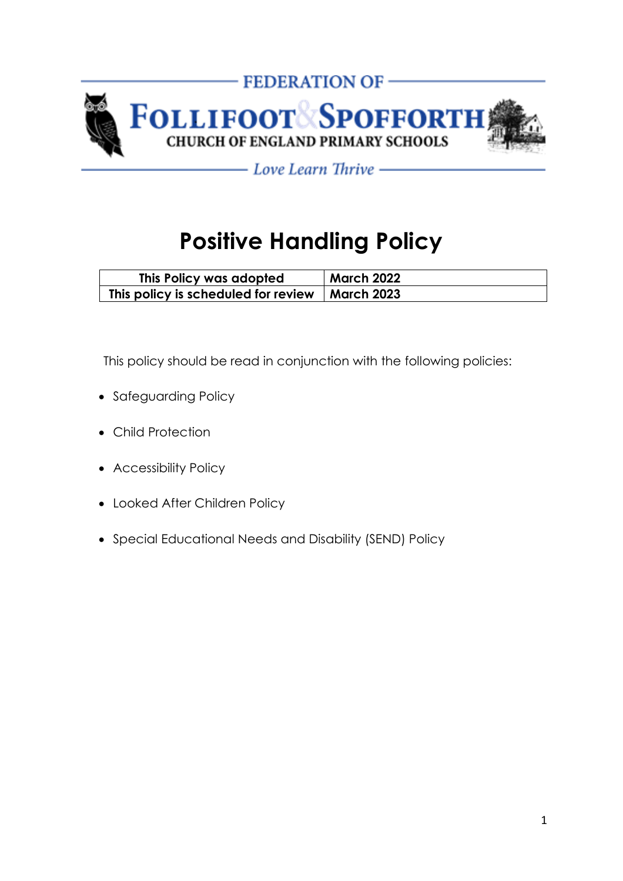

- Love Learn Thrive —

# **Positive Handling Policy**

| This Policy was adopted                          | March 2022 |
|--------------------------------------------------|------------|
| This policy is scheduled for review   March 2023 |            |

This policy should be read in conjunction with the following policies:

- Safeguarding Policy
- Child Protection
- Accessibility Policy
- Looked After Children Policy
- Special Educational Needs and Disability (SEND) Policy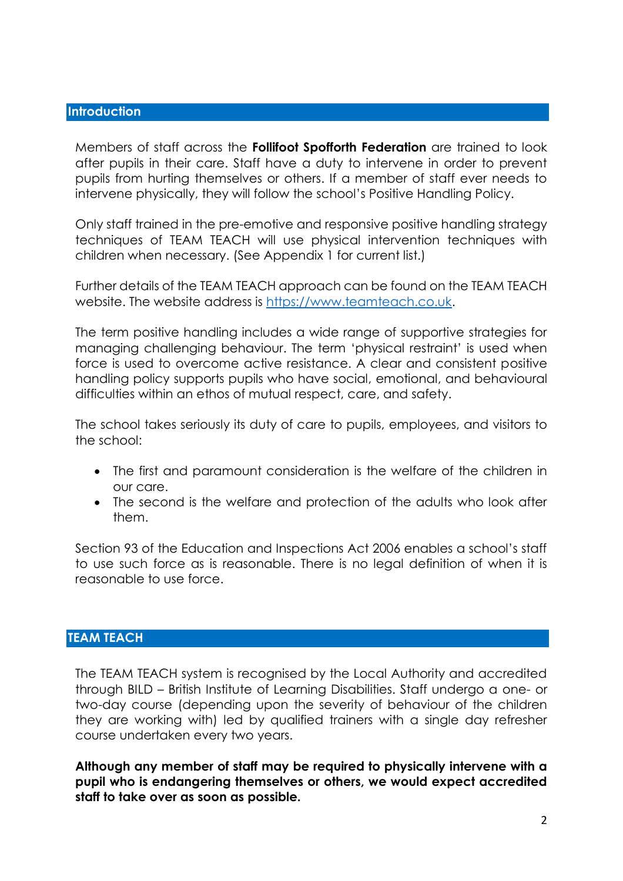## **Introduction**

Members of staff across the **Follifoot Spofforth Federation** are trained to look after pupils in their care. Staff have a duty to intervene in order to prevent pupils from hurting themselves or others. If a member of staff ever needs to intervene physically, they will follow the school's Positive Handling Policy.

Only staff trained in the pre-emotive and responsive positive handling strategy techniques of TEAM TEACH will use physical intervention techniques with children when necessary. (See Appendix 1 for current list.)

Further details of the TEAM TEACH approach can be found on the TEAM TEACH website. The website address is [https://www.teamteach.co.uk.](https://www.teamteach.co.uk/)

The term positive handling includes a wide range of supportive strategies for managing challenging behaviour. The term 'physical restraint' is used when force is used to overcome active resistance. A clear and consistent positive handling policy supports pupils who have social, emotional, and behavioural difficulties within an ethos of mutual respect, care, and safety.

The school takes seriously its duty of care to pupils, employees, and visitors to the school:

- The first and paramount consideration is the welfare of the children in our care.
- The second is the welfare and protection of the adults who look after them.

Section 93 of the Education and Inspections Act 2006 enables a school's staff to use such force as is reasonable. There is no legal definition of when it is reasonable to use force.

## **TEAM TEACH**

The TEAM TEACH system is recognised by the Local Authority and accredited through BILD – British Institute of Learning Disabilities. Staff undergo a one- or two-day course (depending upon the severity of behaviour of the children they are working with) led by qualified trainers with a single day refresher course undertaken every two years.

**Although any member of staff may be required to physically intervene with a pupil who is endangering themselves or others, we would expect accredited staff to take over as soon as possible.**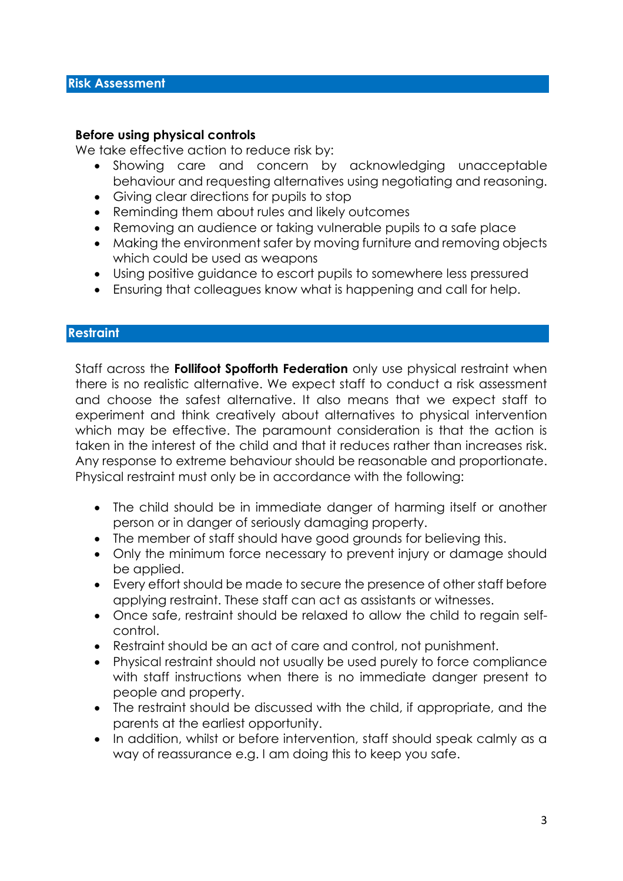## **Before using physical controls**

We take effective action to reduce risk by:

- Showing care and concern by acknowledging unacceptable behaviour and requesting alternatives using negotiating and reasoning.
- Giving clear directions for pupils to stop
- Reminding them about rules and likely outcomes
- Removing an audience or taking vulnerable pupils to a safe place
- Making the environment safer by moving furniture and removing objects which could be used as weapons
- Using positive guidance to escort pupils to somewhere less pressured
- Ensuring that colleagues know what is happening and call for help.

## **Restraint**

Staff across the **Follifoot Spofforth Federation** only use physical restraint when there is no realistic alternative. We expect staff to conduct a risk assessment and choose the safest alternative. It also means that we expect staff to experiment and think creatively about alternatives to physical intervention which may be effective. The paramount consideration is that the action is taken in the interest of the child and that it reduces rather than increases risk. Any response to extreme behaviour should be reasonable and proportionate. Physical restraint must only be in accordance with the following:

- The child should be in immediate danger of harming itself or another person or in danger of seriously damaging property.
- The member of staff should have good grounds for believing this.
- Only the minimum force necessary to prevent injury or damage should be applied.
- Every effort should be made to secure the presence of other staff before applying restraint. These staff can act as assistants or witnesses.
- Once safe, restraint should be relaxed to allow the child to regain selfcontrol.
- Restraint should be an act of care and control, not punishment.
- Physical restraint should not usually be used purely to force compliance with staff instructions when there is no immediate danger present to people and property.
- The restraint should be discussed with the child, if appropriate, and the parents at the earliest opportunity.
- In addition, whilst or before intervention, staff should speak calmly as a way of reassurance e.g. I am doing this to keep you safe.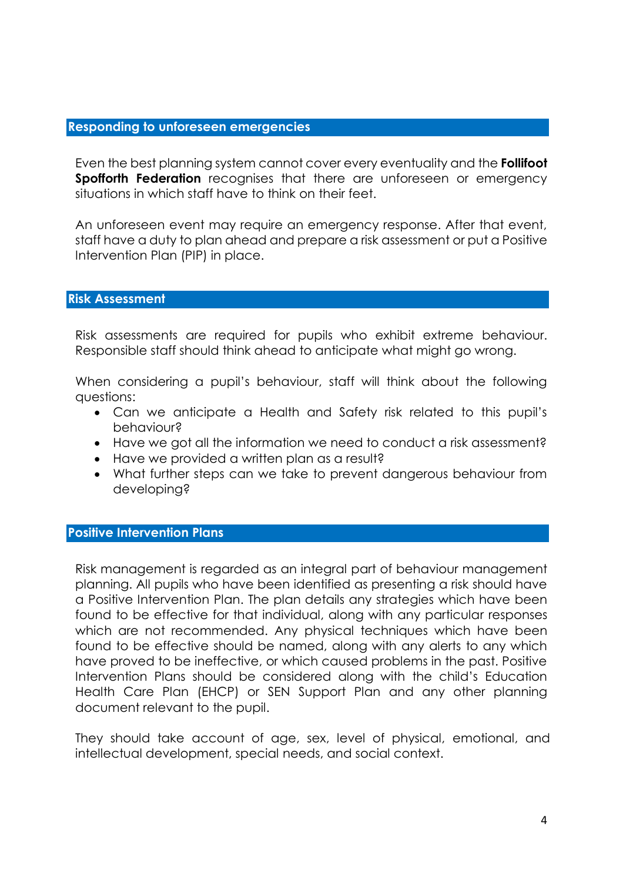## **Responding to unforeseen emergencies**

Even the best planning system cannot cover every eventuality and the **Follifoot Spofforth Federation** recognises that there are unforeseen or emergency situations in which staff have to think on their feet.

An unforeseen event may require an emergency response. After that event, staff have a duty to plan ahead and prepare a risk assessment or put a Positive Intervention Plan (PIP) in place.

## **Risk Assessment**

Risk assessments are required for pupils who exhibit extreme behaviour. Responsible staff should think ahead to anticipate what might go wrong.

When considering a pupil's behaviour, staff will think about the following questions:

- Can we anticipate a Health and Safety risk related to this pupil's behaviour?
- Have we got all the information we need to conduct a risk assessment?
- Have we provided a written plan as a result?
- What further steps can we take to prevent dangerous behaviour from developing?

#### **Positive Intervention Plans**

Risk management is regarded as an integral part of behaviour management planning. All pupils who have been identified as presenting a risk should have a Positive Intervention Plan. The plan details any strategies which have been found to be effective for that individual, along with any particular responses which are not recommended. Any physical techniques which have been found to be effective should be named, along with any alerts to any which have proved to be ineffective, or which caused problems in the past. Positive Intervention Plans should be considered along with the child's Education Health Care Plan (EHCP) or SEN Support Plan and any other planning document relevant to the pupil.

They should take account of age, sex, level of physical, emotional, and intellectual development, special needs, and social context.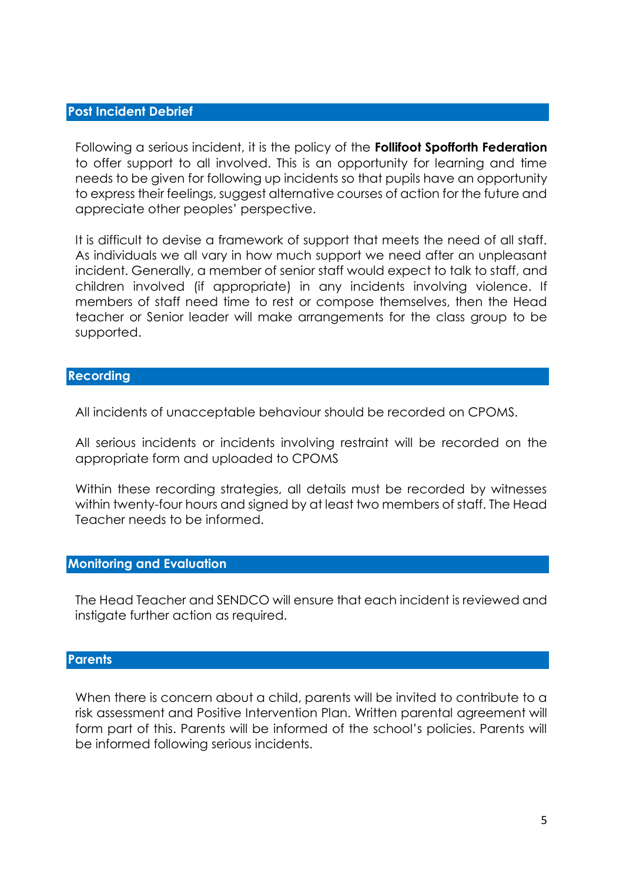## **Post Incident Debrief**

Following a serious incident, it is the policy of the **Follifoot Spofforth Federation** to offer support to all involved. This is an opportunity for learning and time needs to be given for following up incidents so that pupils have an opportunity to express their feelings, suggest alternative courses of action for the future and appreciate other peoples' perspective.

It is difficult to devise a framework of support that meets the need of all staff. As individuals we all vary in how much support we need after an unpleasant incident. Generally, a member of senior staff would expect to talk to staff, and children involved (if appropriate) in any incidents involving violence. If members of staff need time to rest or compose themselves, then the Head teacher or Senior leader will make arrangements for the class group to be supported.

## **Recording**

All incidents of unacceptable behaviour should be recorded on CPOMS.

All serious incidents or incidents involving restraint will be recorded on the appropriate form and uploaded to CPOMS

Within these recording strategies, all details must be recorded by witnesses within twenty-four hours and signed by at least two members of staff. The Head Teacher needs to be informed.

## **Monitoring and Evaluation**

The Head Teacher and SENDCO will ensure that each incident is reviewed and instigate further action as required.

### **Parents**

When there is concern about a child, parents will be invited to contribute to a risk assessment and Positive Intervention Plan. Written parental agreement will form part of this. Parents will be informed of the school's policies. Parents will be informed following serious incidents.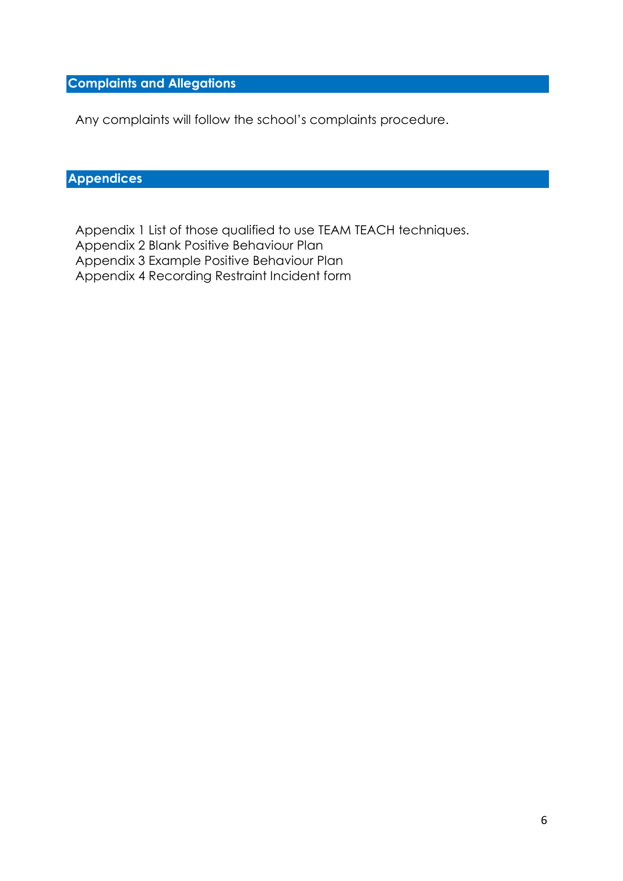## **Complaints and Allegations**

Any complaints will follow the school's complaints procedure.

## **Appendices**

Appendix 1 List of those qualified to use TEAM TEACH techniques. Appendix 2 Blank Positive Behaviour Plan Appendix 3 Example Positive Behaviour Plan Appendix 4 Recording Restraint Incident form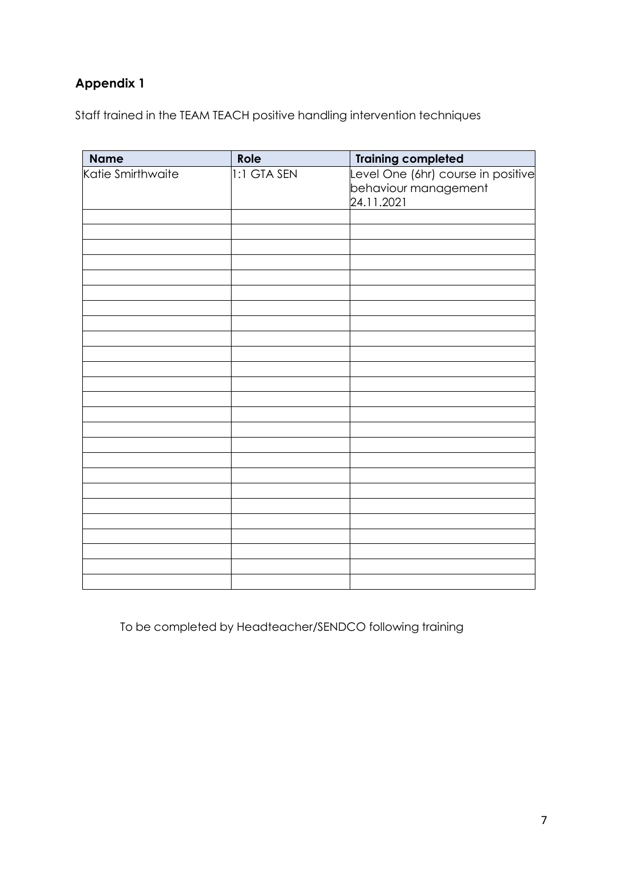# **Appendix 1**

Staff trained in the TEAM TEACH positive handling intervention techniques

| <b>Name</b>       | Role        | <b>Training completed</b>          |
|-------------------|-------------|------------------------------------|
| Katie Smirthwaite | 1:1 GTA SEN | Level One (6hr) course in positive |
|                   |             | behaviour management               |
|                   |             | 24.11.2021                         |
|                   |             |                                    |
|                   |             |                                    |
|                   |             |                                    |
|                   |             |                                    |
|                   |             |                                    |
|                   |             |                                    |
|                   |             |                                    |
|                   |             |                                    |
|                   |             |                                    |
|                   |             |                                    |
|                   |             |                                    |
|                   |             |                                    |
|                   |             |                                    |
|                   |             |                                    |
|                   |             |                                    |
|                   |             |                                    |
|                   |             |                                    |
|                   |             |                                    |
|                   |             |                                    |
|                   |             |                                    |
|                   |             |                                    |
|                   |             |                                    |
|                   |             |                                    |
|                   |             |                                    |
|                   |             |                                    |

To be completed by Headteacher/SENDCO following training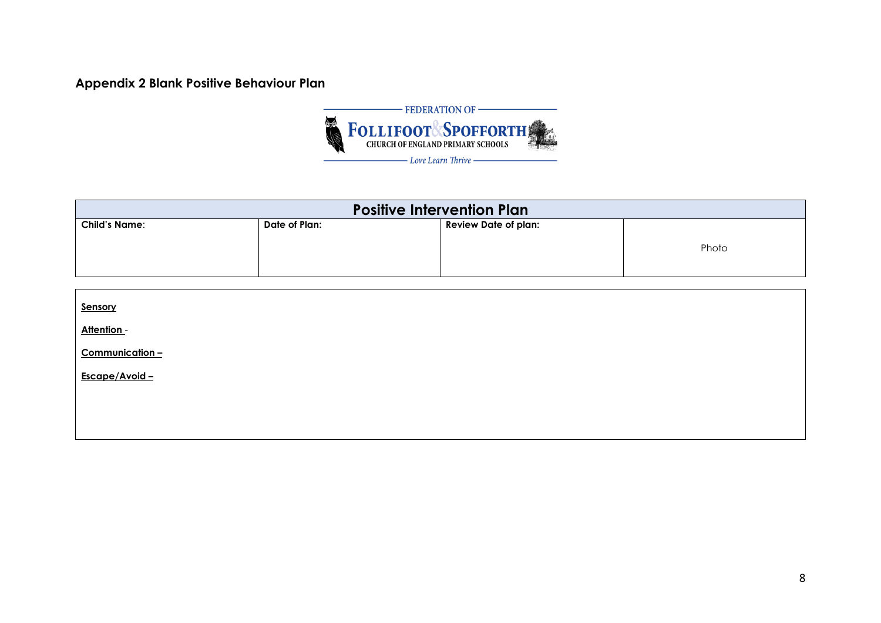## **Appendix 2 Blank Positive Behaviour Plan**



| <b>Positive Intervention Plan</b> |               |                             |       |
|-----------------------------------|---------------|-----------------------------|-------|
| <b>Child's Name:</b>              | Date of Plan: | <b>Review Date of plan:</b> | Photo |

| Sensory        |  |
|----------------|--|
| Attention -    |  |
| Communication- |  |
| Escape/Avoid - |  |
|                |  |
|                |  |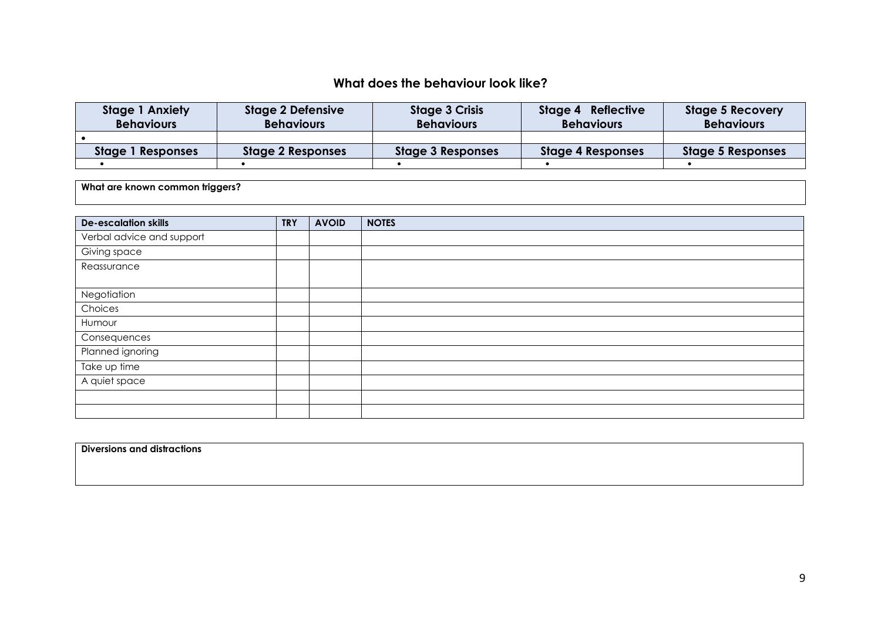## **What does the behaviour look like?**

| <b>Stage 1 Anxiety</b><br><b>Behaviours</b> | <b>Stage 2 Defensive</b><br><b>Behaviours</b> | <b>Stage 3 Crisis</b><br><b>Behaviours</b> | Stage 4 Reflective<br><b>Behaviours</b> | <b>Stage 5 Recovery</b><br><b>Behaviours</b> |
|---------------------------------------------|-----------------------------------------------|--------------------------------------------|-----------------------------------------|----------------------------------------------|
|                                             |                                               |                                            |                                         |                                              |
| Stage 1 Responses                           | <b>Stage 2 Responses</b>                      | <b>Stage 3 Responses</b>                   | <b>Stage 4 Responses</b>                | <b>Stage 5 Responses</b>                     |
|                                             |                                               |                                            |                                         |                                              |

**What are known common triggers?**

| <b>De-escalation skills</b> | <b>TRY</b> | <b>AVOID</b> | <b>NOTES</b> |
|-----------------------------|------------|--------------|--------------|
| Verbal advice and support   |            |              |              |
| Giving space                |            |              |              |
| Reassurance                 |            |              |              |
|                             |            |              |              |
| Negotiation                 |            |              |              |
| Choices                     |            |              |              |
| Humour                      |            |              |              |
| Consequences                |            |              |              |
| Planned ignoring            |            |              |              |
| Take up time                |            |              |              |
| A quiet space               |            |              |              |
|                             |            |              |              |
|                             |            |              |              |

**Diversions and distractions**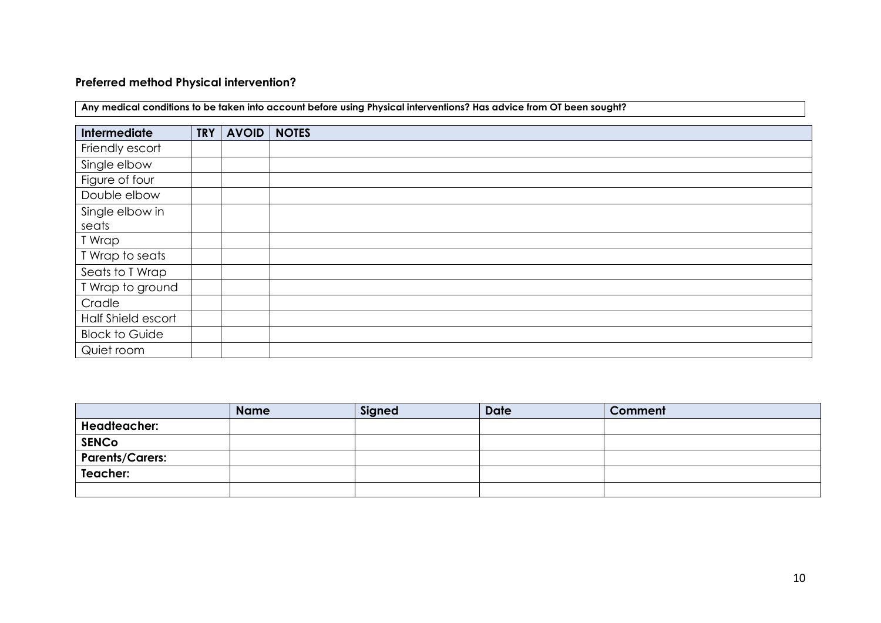## **Preferred method Physical intervention?**

| Intermediate          | <b>TRY</b> | <b>AVOID</b> | <b>NOTES</b> |
|-----------------------|------------|--------------|--------------|
| Friendly escort       |            |              |              |
| Single elbow          |            |              |              |
| Figure of four        |            |              |              |
| Double elbow          |            |              |              |
| Single elbow in       |            |              |              |
| seats                 |            |              |              |
| T Wrap                |            |              |              |
| T Wrap to seats       |            |              |              |
| Seats to T Wrap       |            |              |              |
| T Wrap to ground      |            |              |              |
| Cradle                |            |              |              |
| Half Shield escort    |            |              |              |
| <b>Block to Guide</b> |            |              |              |
| Quiet room            |            |              |              |

**Any medical conditions to be taken into account before using Physical interventions? Has advice from OT been sought?** 

|                        | <b>Name</b> | Signed | <b>Date</b> | Comment |
|------------------------|-------------|--------|-------------|---------|
| <b>Headteacher:</b>    |             |        |             |         |
| <b>SENCO</b>           |             |        |             |         |
| <b>Parents/Carers:</b> |             |        |             |         |
| Teacher:               |             |        |             |         |
|                        |             |        |             |         |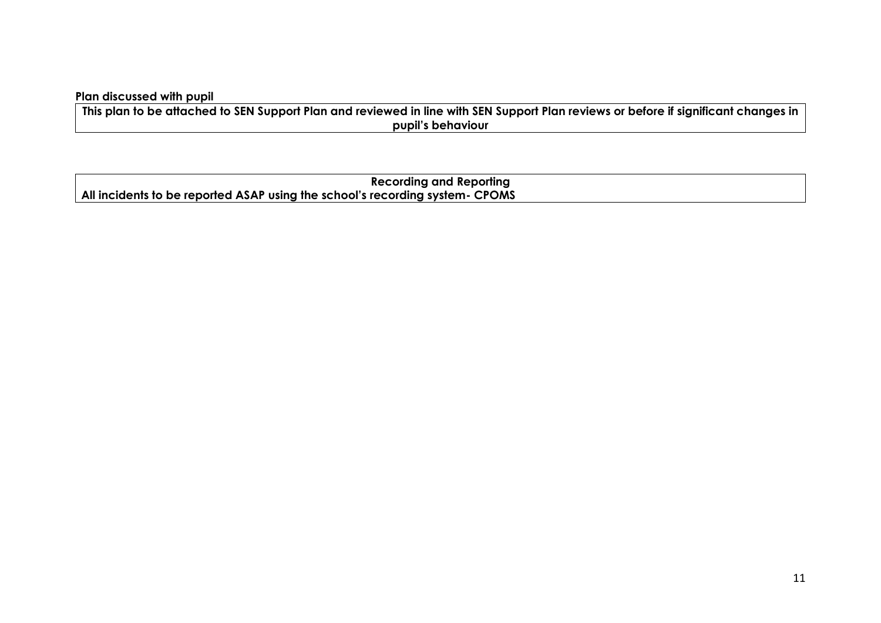## **Plan discussed with pupil**

**This plan to be attached to SEN Support Plan and reviewed in line with SEN Support Plan reviews or before if significant changes in pupil's behaviour** 

**Recording and Reporting All incidents to be reported ASAP using the school's recording system- CPOMS**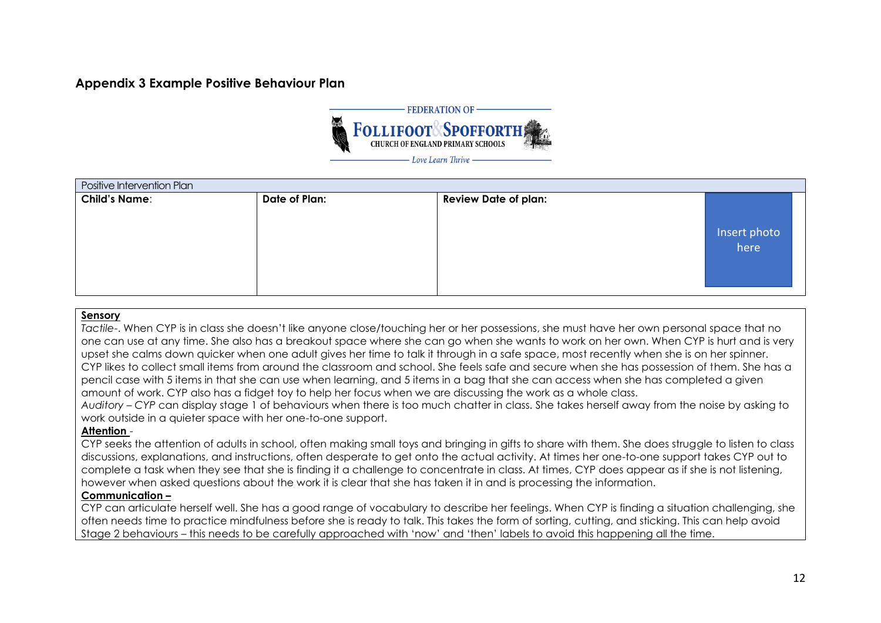## **Appendix 3 Example Positive Behaviour Plan**



| Positive Intervention Plan |               |                             |                      |  |
|----------------------------|---------------|-----------------------------|----------------------|--|
| <b>Child's Name:</b>       | Date of Plan: | <b>Review Date of plan:</b> |                      |  |
|                            |               |                             | Insert photo<br>here |  |
|                            |               |                             |                      |  |

#### **Sensory**

*Tactile*-. When CYP is in class she doesn't like anyone close/touching her or her possessions, she must have her own personal space that no one can use at any time. She also has a breakout space where she can go when she wants to work on her own. When CYP is hurt and is very upset she calms down quicker when one adult gives her time to talk it through in a safe space, most recently when she is on her spinner. CYP likes to collect small items from around the classroom and school. She feels safe and secure when she has possession of them. She has a pencil case with 5 items in that she can use when learning, and 5 items in a bag that she can access when she has completed a given amount of work. CYP also has a fidget toy to help her focus when we are discussing the work as a whole class.

*Auditory – CYP* can display stage 1 of behaviours when there is too much chatter in class. She takes herself away from the noise by asking to work outside in a quieter space with her one-to-one support.

#### **Attention** -

CYP seeks the attention of adults in school, often making small toys and bringing in gifts to share with them. She does struggle to listen to class discussions, explanations, and instructions, often desperate to get onto the actual activity. At times her one-to-one support takes CYP out to complete a task when they see that she is finding it a challenge to concentrate in class. At times, CYP does appear as if she is not listening, however when asked questions about the work it is clear that she has taken it in and is processing the information.

#### **Communication –**

CYP can articulate herself well. She has a good range of vocabulary to describe her feelings. When CYP is finding a situation challenging, she often needs time to practice mindfulness before she is ready to talk. This takes the form of sorting, cutting, and sticking. This can help avoid Stage 2 behaviours – this needs to be carefully approached with 'now' and 'then' labels to avoid this happening all the time.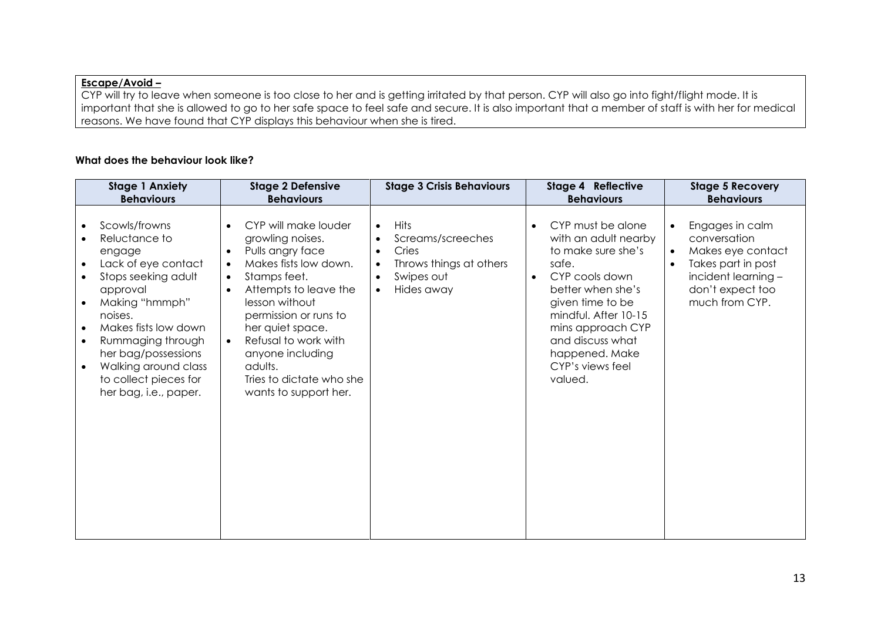## **Escape/Avoid –**

CYP will try to leave when someone is too close to her and is getting irritated by that person. CYP will also go into fight/flight mode. It is important that she is allowed to go to her safe space to feel safe and secure. It is also important that a member of staff is with her for medical reasons. We have found that CYP displays this behaviour when she is tired.

#### **What does the behaviour look like?**

| <b>Stage 1 Anxiety</b>                                                                                                                                                                                                                                                                                                                         | <b>Stage 2 Defensive</b>                                                                                                                                                                                                                                                                                                                                                   | <b>Stage 3 Crisis Behaviours</b>                                                                                                                     | <b>Stage 4 Reflective</b>                                                                                                                                                                                                                                          | <b>Stage 5 Recovery</b>                                                                                                                   |
|------------------------------------------------------------------------------------------------------------------------------------------------------------------------------------------------------------------------------------------------------------------------------------------------------------------------------------------------|----------------------------------------------------------------------------------------------------------------------------------------------------------------------------------------------------------------------------------------------------------------------------------------------------------------------------------------------------------------------------|------------------------------------------------------------------------------------------------------------------------------------------------------|--------------------------------------------------------------------------------------------------------------------------------------------------------------------------------------------------------------------------------------------------------------------|-------------------------------------------------------------------------------------------------------------------------------------------|
| <b>Behaviours</b>                                                                                                                                                                                                                                                                                                                              | <b>Behaviours</b>                                                                                                                                                                                                                                                                                                                                                          |                                                                                                                                                      | <b>Behaviours</b>                                                                                                                                                                                                                                                  | <b>Behaviours</b>                                                                                                                         |
| Scowls/frowns<br>Reluctance to<br>$\bullet$<br>engage<br>Lack of eye contact<br>$\bullet$<br>Stops seeking adult<br>approval<br>Making "hmmph"<br>noises.<br>Makes fists low down<br>$\bullet$<br>Rummaging through<br>$\bullet$<br>her bag/possessions<br>Walking around class<br>$\bullet$<br>to collect pieces for<br>her bag, i.e., paper. | CYP will make louder<br>$\bullet$<br>growling noises.<br>Pulls angry face<br>$\bullet$<br>Makes fists low down.<br>$\bullet$<br>Stamps feet.<br>$\bullet$<br>Attempts to leave the<br>$\bullet$<br>lesson without<br>permission or runs to<br>her quiet space.<br>Refusal to work with<br>anyone including<br>adults.<br>Tries to dictate who she<br>wants to support her. | <b>Hits</b><br>$\bullet$<br>Screams/screeches<br>Cries<br>$\bullet$<br>Throws things at others<br>$\bullet$<br>Swipes out<br>Hides away<br>$\bullet$ | CYP must be alone<br>with an adult nearby<br>to make sure she's<br>safe.<br>CYP cools down<br>$\bullet$<br>better when she's<br>given time to be<br>mindful. After 10-15<br>mins approach CYP<br>and discuss what<br>happened. Make<br>CYP's views feel<br>valued. | Engages in calm<br>conversation<br>Makes eye contact<br>Takes part in post<br>incident learning $-$<br>don't expect too<br>much from CYP. |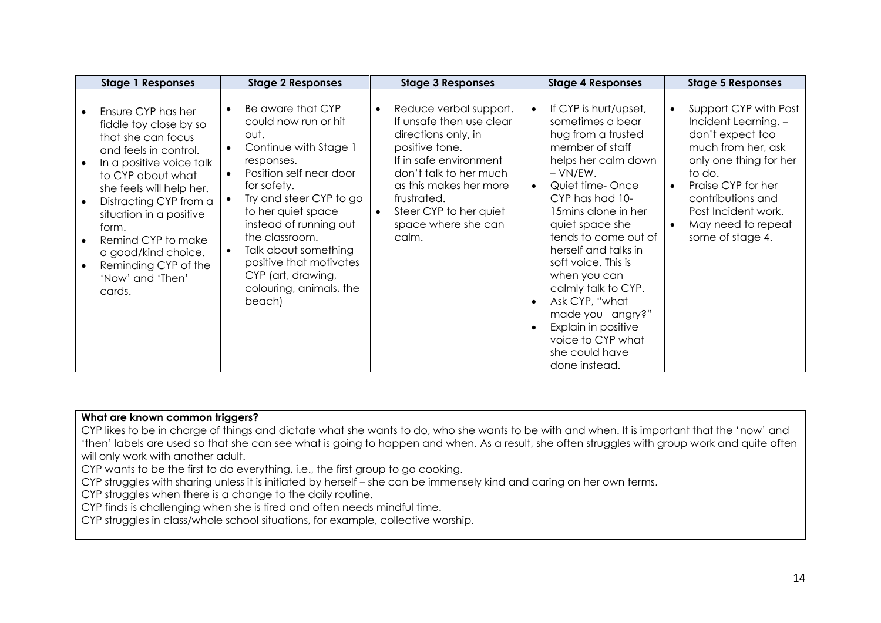| <b>Stage 1 Responses</b>                                                                                                                                                                                                                                                                                                                  | <b>Stage 2 Responses</b>                                                                                                                                                                                                                                                                                                                                   | <b>Stage 3 Responses</b>                                                                                                                                                                                                                           | <b>Stage 4 Responses</b>                                                                                                                                                                                                                                                                                                                                                                                                                                | <b>Stage 5 Responses</b>                                                                                                                                                                                                                |
|-------------------------------------------------------------------------------------------------------------------------------------------------------------------------------------------------------------------------------------------------------------------------------------------------------------------------------------------|------------------------------------------------------------------------------------------------------------------------------------------------------------------------------------------------------------------------------------------------------------------------------------------------------------------------------------------------------------|----------------------------------------------------------------------------------------------------------------------------------------------------------------------------------------------------------------------------------------------------|---------------------------------------------------------------------------------------------------------------------------------------------------------------------------------------------------------------------------------------------------------------------------------------------------------------------------------------------------------------------------------------------------------------------------------------------------------|-----------------------------------------------------------------------------------------------------------------------------------------------------------------------------------------------------------------------------------------|
| Ensure CYP has her<br>fiddle toy close by so<br>that she can focus<br>and feels in control.<br>In a positive voice talk<br>to CYP about what<br>she feels will help her.<br>Distracting CYP from a<br>situation in a positive<br>form.<br>Remind CYP to make<br>a good/kind choice.<br>Reminding CYP of the<br>'Now' and 'Then'<br>cards. | Be aware that CYP<br>could now run or hit<br>out.<br>Continue with Stage 1<br>$\bullet$<br>responses.<br>Position self near door<br>for safety.<br>Try and steer CYP to go<br>to her quiet space<br>instead of running out<br>the classroom.<br>Talk about something<br>positive that motivates<br>CYP (art, drawing,<br>colouring, animals, the<br>beach) | Reduce verbal support.<br>If unsafe then use clear<br>directions only, in<br>positive tone.<br>If in safe environment<br>don't talk to her much<br>as this makes her more<br>frustrated.<br>Steer CYP to her quiet<br>space where she can<br>calm. | If CYP is hurt/upset,<br>sometimes a bear<br>hug from a trusted<br>member of staff<br>helps her calm down<br>$-VN/EW.$<br>Quiet time-Once<br>$\bullet$<br>CYP has had 10-<br>15 mins alone in her<br>quiet space she<br>tends to come out of<br>herself and talks in<br>soft voice. This is<br>when you can<br>calmly talk to CYP.<br>Ask CYP, "what<br>made you angry?"<br>Explain in positive<br>voice to CYP what<br>she could have<br>done instead. | Support CYP with Post<br>Incident Learning. -<br>don't expect too<br>much from her, ask<br>only one thing for her<br>to do.<br>Praise CYP for her<br>contributions and<br>Post Incident work.<br>May need to repeat<br>some of stage 4. |

#### **What are known common triggers?**

CYP likes to be in charge of things and dictate what she wants to do, who she wants to be with and when. It is important that the 'now' and 'then' labels are used so that she can see what is going to happen and when. As a result, she often struggles with group work and quite often will only work with another adult.

CYP wants to be the first to do everything, i.e., the first group to go cooking.

CYP struggles with sharing unless it is initiated by herself – she can be immensely kind and caring on her own terms.

CYP struggles when there is a change to the daily routine.

CYP finds is challenging when she is tired and often needs mindful time.

CYP struggles in class/whole school situations, for example, collective worship.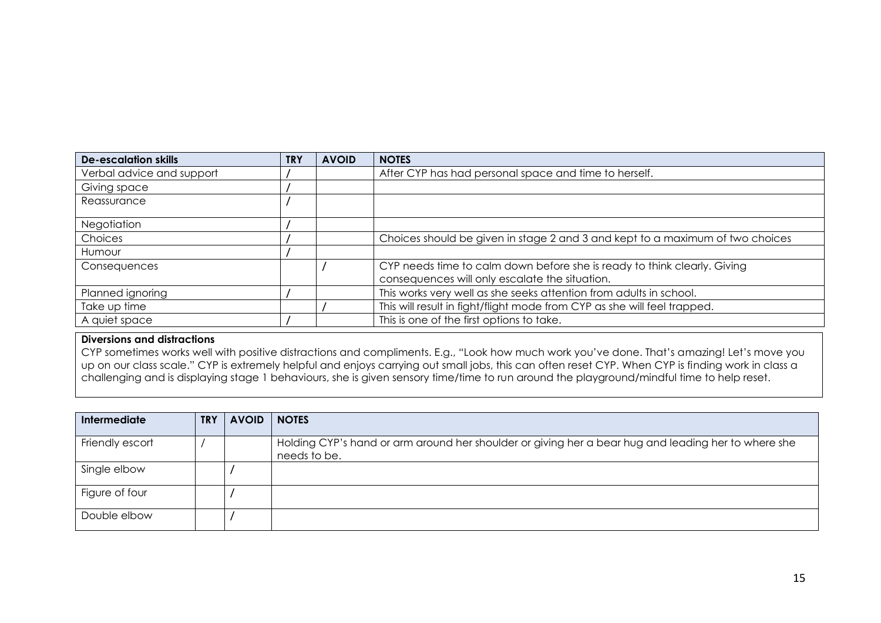| <b>De-escalation skills</b> | <b>TRY</b> | <b>AVOID</b> | <b>NOTES</b>                                                                  |
|-----------------------------|------------|--------------|-------------------------------------------------------------------------------|
| Verbal advice and support   |            |              | After CYP has had personal space and time to herself.                         |
| Giving space                |            |              |                                                                               |
| Reassurance                 |            |              |                                                                               |
|                             |            |              |                                                                               |
| <b>Negotiation</b>          |            |              |                                                                               |
| Choices                     |            |              | Choices should be given in stage 2 and 3 and kept to a maximum of two choices |
| Humour                      |            |              |                                                                               |
| Consequences                |            |              | CYP needs time to calm down before she is ready to think clearly. Giving      |
|                             |            |              | consequences will only escalate the situation.                                |
| Planned ignoring            |            |              | This works very well as she seeks attention from adults in school.            |
| Take up time                |            |              | This will result in fight/flight mode from CYP as she will feel trapped.      |
| A quiet space               |            |              | This is one of the first options to take.                                     |

#### **Diversions and distractions**

CYP sometimes works well with positive distractions and compliments. E.g., "Look how much work you've done. That's amazing! Let's move you up on our class scale." CYP is extremely helpful and enjoys carrying out small jobs, this can often reset CYP. When CYP is finding work in class a challenging and is displaying stage 1 behaviours, she is given sensory time/time to run around the playground/mindful time to help reset.

| <b>Intermediate</b> | <b>TRY</b> | <b>AVOID</b> | <b>NOTES</b>                                                                                                        |
|---------------------|------------|--------------|---------------------------------------------------------------------------------------------------------------------|
| Friendly escort     |            |              | Holding CYP's hand or arm around her shoulder or giving her a bear hug and leading her to where she<br>needs to be. |
| Single elbow        |            |              |                                                                                                                     |
| Figure of four      |            |              |                                                                                                                     |
| Double elbow        |            |              |                                                                                                                     |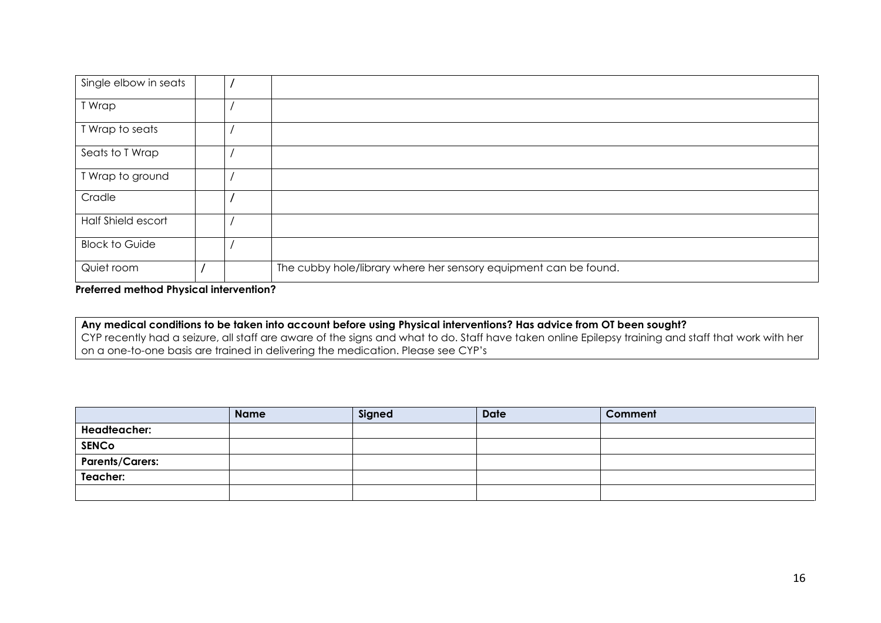| Single elbow in seats |  |                                                                  |
|-----------------------|--|------------------------------------------------------------------|
| T Wrap                |  |                                                                  |
| T Wrap to seats       |  |                                                                  |
| Seats to T Wrap       |  |                                                                  |
| T Wrap to ground      |  |                                                                  |
| Cradle                |  |                                                                  |
| Half Shield escort    |  |                                                                  |
| <b>Block to Guide</b> |  |                                                                  |
| Quiet room            |  | The cubby hole/library where her sensory equipment can be found. |

**Preferred method Physical intervention?**

**Any medical conditions to be taken into account before using Physical interventions? Has advice from OT been sought?**  CYP recently had a seizure, all staff are aware of the signs and what to do. Staff have taken online Epilepsy training and staff that work with her on a one-to-one basis are trained in delivering the medication. Please see CYP's

|                        | <b>Name</b> | Signed | <b>Date</b> | Comment |
|------------------------|-------------|--------|-------------|---------|
| <b>Headteacher:</b>    |             |        |             |         |
| <b>SENCo</b>           |             |        |             |         |
| <b>Parents/Carers:</b> |             |        |             |         |
| Teacher:               |             |        |             |         |
|                        |             |        |             |         |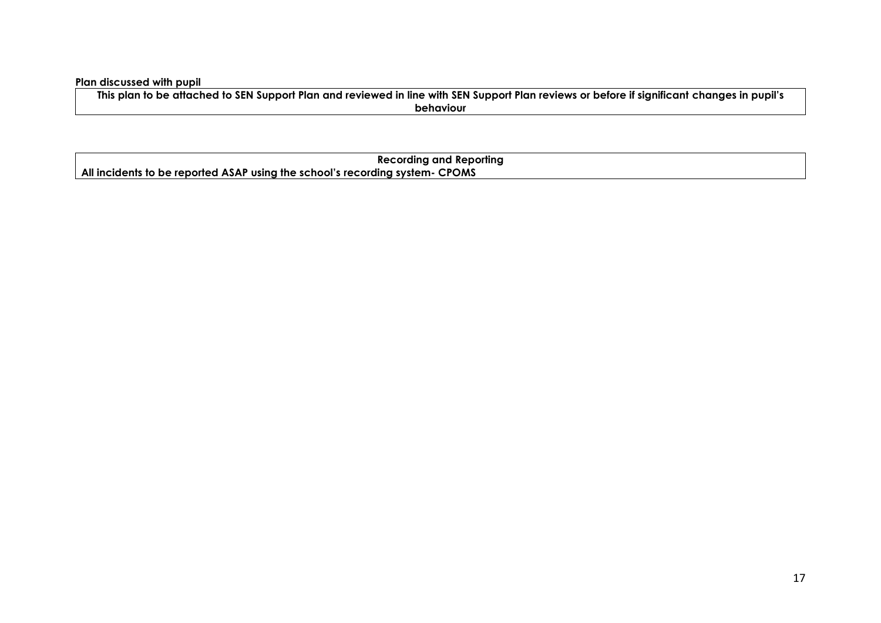**Plan discussed with pupil** 

**This plan to be attached to SEN Support Plan and reviewed in line with SEN Support Plan reviews or before if significant changes in pupil's behaviour** 

| <b>Recording and Reporting</b>                                                     |  |  |  |
|------------------------------------------------------------------------------------|--|--|--|
| $\mu$ All incidents to be reported ASAP using the school's recording system- CPOMS |  |  |  |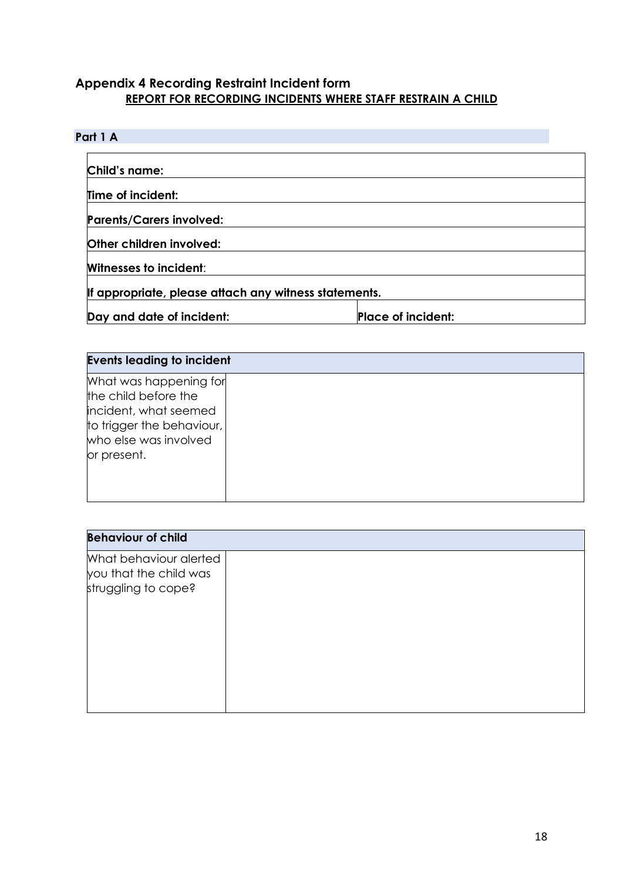## **Appendix 4 Recording Restraint Incident form REPORT FOR RECORDING INCIDENTS WHERE STAFF RESTRAIN A CHILD**

## **Part 1 A**

| Child's name:                                         |                           |  |
|-------------------------------------------------------|---------------------------|--|
| Time of incident:                                     |                           |  |
| <b>Parents/Carers involved:</b>                       |                           |  |
| Other children involved:                              |                           |  |
| <b>Witnesses to incident:</b>                         |                           |  |
| If appropriate, please attach any witness statements. |                           |  |
| Day and date of incident:                             | <b>Place of incident:</b> |  |

| <b>Events leading to incident</b>                                                                                                            |  |  |  |
|----------------------------------------------------------------------------------------------------------------------------------------------|--|--|--|
| What was happening for<br>the child before the<br>incident, what seemed<br>to trigger the behaviour,<br>who else was involved<br>or present. |  |  |  |

| <b>Behaviour of child</b>                                               |  |  |  |  |
|-------------------------------------------------------------------------|--|--|--|--|
| What behaviour alerted<br>you that the child was<br>struggling to cope? |  |  |  |  |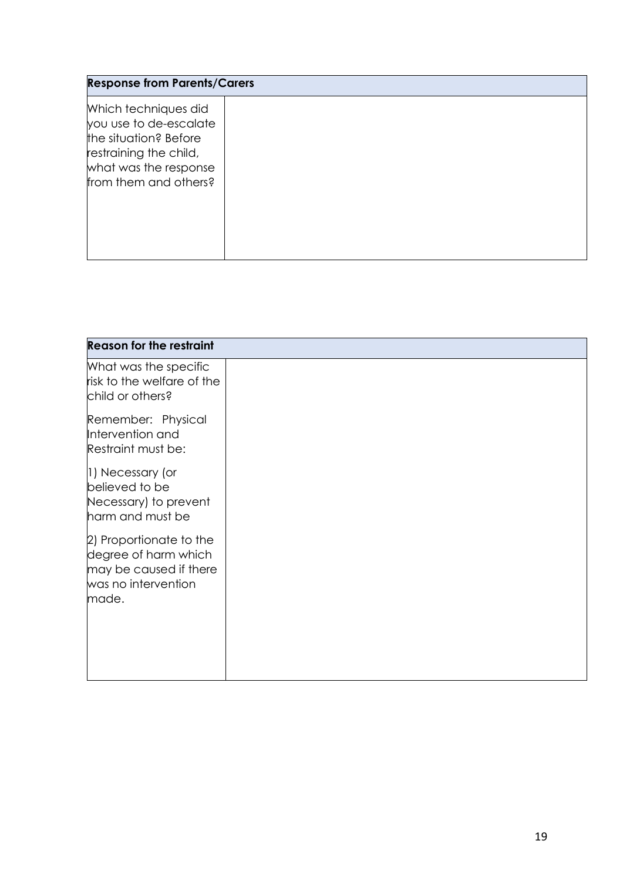| <b>Response from Parents/Carers</b>                                                                                                                 |  |  |  |
|-----------------------------------------------------------------------------------------------------------------------------------------------------|--|--|--|
| Which techniques did<br>you use to de-escalate<br>the situation? Before<br>restraining the child,<br>what was the response<br>from them and others? |  |  |  |

| <b>Reason for the restraint</b>                                                                           |  |  |  |
|-----------------------------------------------------------------------------------------------------------|--|--|--|
| What was the specific<br>risk to the welfare of the<br>child or others?                                   |  |  |  |
| Remember: Physical<br>Intervention and<br>Restraint must be:                                              |  |  |  |
| 1) Necessary (or<br>believed to be<br>Necessary) to prevent<br>harm and must be                           |  |  |  |
| 2) Proportionate to the<br>degree of harm which<br>may be caused if there<br>was no intervention<br>made. |  |  |  |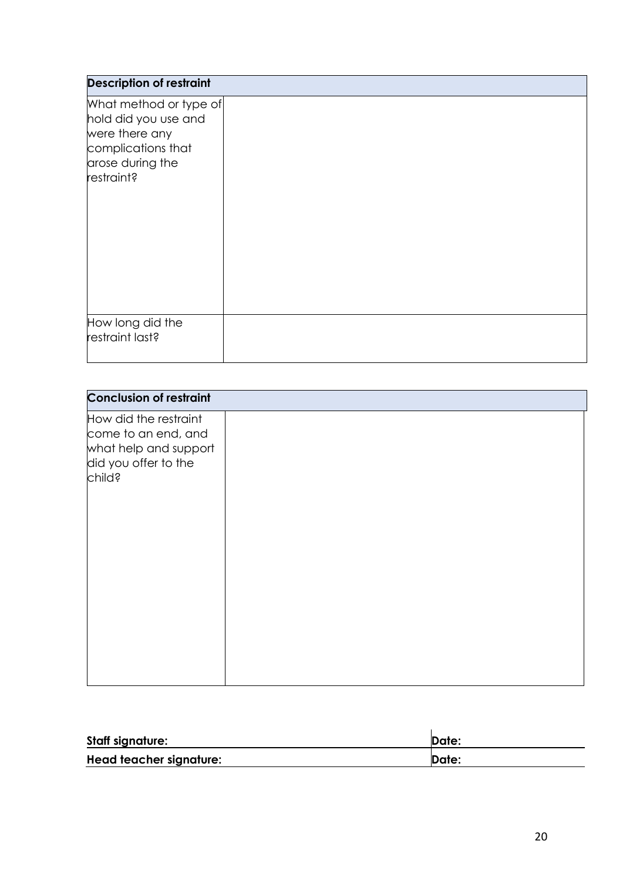| <b>Description of restraint</b>                                                                                          |  |
|--------------------------------------------------------------------------------------------------------------------------|--|
| What method or type of<br>hold did you use and<br>were there any<br>complications that<br>arose during the<br>restraint? |  |
| How long did the<br>restraint last?                                                                                      |  |

| <b>Conclusion of restraint</b>                                                                          |  |
|---------------------------------------------------------------------------------------------------------|--|
| How did the restraint<br>come to an end, and<br>what help and support<br>did you offer to the<br>child? |  |
|                                                                                                         |  |

| <b>Staff signature:</b> | <b>Date:</b> |
|-------------------------|--------------|
| Head teacher signature: | Date:        |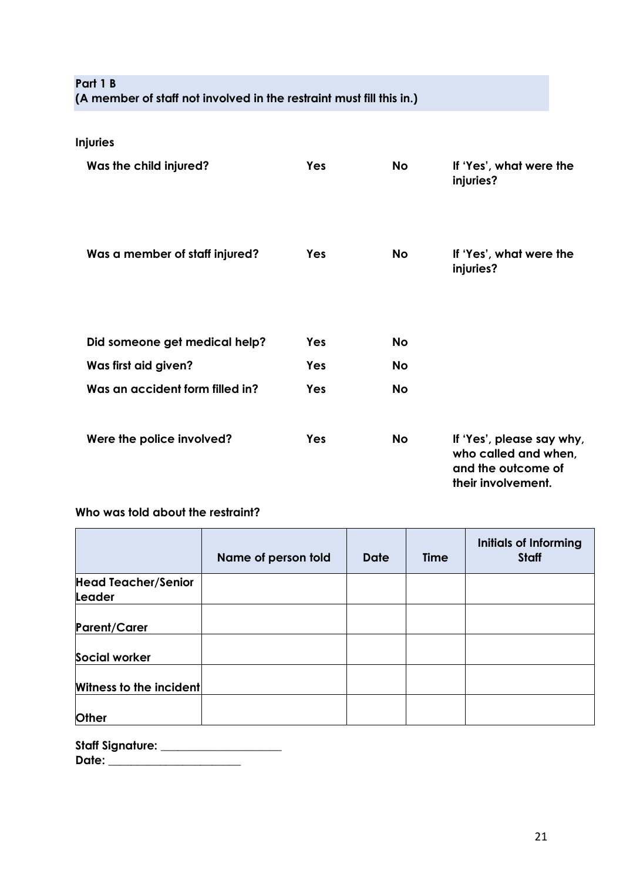## **Part 1 B (A member of staff not involved in the restraint must fill this in.)**

| <b>Injuries</b>                 |            |           |                                                                                               |
|---------------------------------|------------|-----------|-----------------------------------------------------------------------------------------------|
| Was the child injured?          | <b>Yes</b> | <b>No</b> | If 'Yes', what were the<br>injuries?                                                          |
| Was a member of staff injured?  | Yes        | <b>No</b> | If 'Yes', what were the<br>injuries?                                                          |
| Did someone get medical help?   | Yes        | <b>No</b> |                                                                                               |
| Was first aid given?            | Yes        | <b>No</b> |                                                                                               |
| Was an accident form filled in? | Yes        | <b>No</b> |                                                                                               |
| Were the police involved?       | Yes        | <b>No</b> | If 'Yes', please say why,<br>who called and when,<br>and the outcome of<br>their involvement. |

## **Who was told about the restraint?**

|                                      | Name of person told | <b>Date</b> | <b>Time</b> | <b>Initials of Informing</b><br><b>Staff</b> |
|--------------------------------------|---------------------|-------------|-------------|----------------------------------------------|
| <b>Head Teacher/Senior</b><br>Leader |                     |             |             |                                              |
| <b>Parent/Carer</b>                  |                     |             |             |                                              |
| <b>Social worker</b>                 |                     |             |             |                                              |
| Witness to the incident              |                     |             |             |                                              |
| <b>Other</b>                         |                     |             |             |                                              |

| <b>Staff Signature:</b> |  |
|-------------------------|--|
| Date:                   |  |